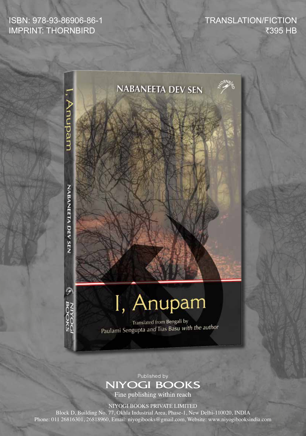## ISBN: 978-93-86906-86-1 IMPRINT: THORNBIRD

TRANSLATION/FICTION ₹395 HB



## Published by **NIYOGI BOOKS**

Fine publishing within reach

NIYOGI BOOKS PRIVATE LIMITED

Block D, Building No. 77, Okhla Industrial Area, Phase-1, New Delhi-110020, INDIA Phone: 011 26816301, 26818960, Email: niyogibooks@gmail.com, Website: www.niyogibooksindia.com